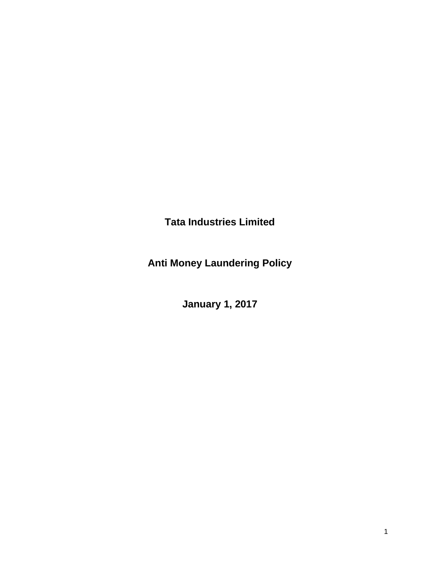**Tata Industries Limited**

**Anti Money Laundering Policy**

**January 1, 2017**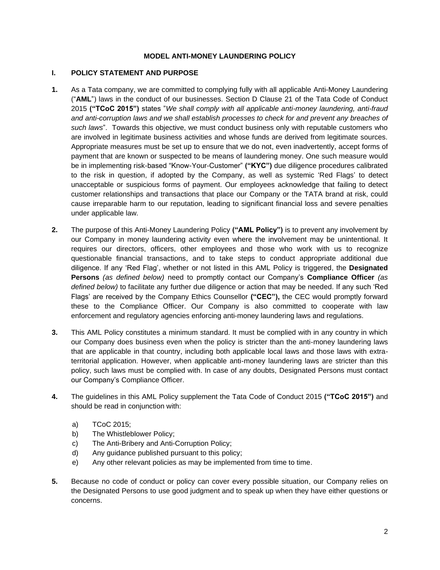### **MODEL ANTI-MONEY LAUNDERING POLICY**

### **I. POLICY STATEMENT AND PURPOSE**

- **1.** As a Tata company, we are committed to complying fully with all applicable Anti-Money Laundering ("**AML**") laws in the conduct of our businesses. Section D Clause 21 of the Tata Code of Conduct 2015 **("TCoC 2015")** states "*We shall comply with all applicable anti-money laundering, anti-fraud and anti-corruption laws and we shall establish processes to check for and prevent any breaches of such laws*". Towards this objective, we must conduct business only with reputable customers who are involved in legitimate business activities and whose funds are derived from legitimate sources. Appropriate measures must be set up to ensure that we do not, even inadvertently, accept forms of payment that are known or suspected to be means of laundering money. One such measure would be in implementing risk-based "Know-Your-Customer" **("KYC")** due diligence procedures calibrated to the risk in question, if adopted by the Company, as well as systemic 'Red Flags' to detect unacceptable or suspicious forms of payment. Our employees acknowledge that failing to detect customer relationships and transactions that place our Company or the TATA brand at risk, could cause irreparable harm to our reputation, leading to significant financial loss and severe penalties under applicable law*.*
- **2.** The purpose of this Anti-Money Laundering Policy **("AML Policy")** is to prevent any involvement by our Company in money laundering activity even where the involvement may be unintentional. It requires our directors, officers, other employees and those who work with us to recognize questionable financial transactions, and to take steps to conduct appropriate additional due diligence. If any 'Red Flag', whether or not listed in this AML Policy is triggered, the **Designated Persons** *(as defined below)* need to promptly contact our Company's **Compliance Officer** *(as defined below)* to facilitate any further due diligence or action that may be needed. If any such 'Red Flags' are received by the Company Ethics Counsellor **("CEC"),** the CEC would promptly forward these to the Compliance Officer. Our Company is also committed to cooperate with law enforcement and regulatory agencies enforcing anti-money laundering laws and regulations.
- **3.** This AML Policy constitutes a minimum standard. It must be complied with in any country in which our Company does business even when the policy is stricter than the anti-money laundering laws that are applicable in that country, including both applicable local laws and those laws with extraterritorial application. However, when applicable anti-money laundering laws are stricter than this policy, such laws must be complied with. In case of any doubts, Designated Persons must contact our Company's Compliance Officer.
- **4.** The guidelines in this AML Policy supplement the Tata Code of Conduct 2015 **("TCoC 2015")** and should be read in conjunction with:
	- a) TCoC 2015;
	- b) The Whistleblower Policy;
	- c) The Anti-Bribery and Anti-Corruption Policy;
	- d) Any guidance published pursuant to this policy;
	- e) Any other relevant policies as may be implemented from time to time.
- **5.** Because no code of conduct or policy can cover every possible situation, our Company relies on the Designated Persons to use good judgment and to speak up when they have either questions or concerns.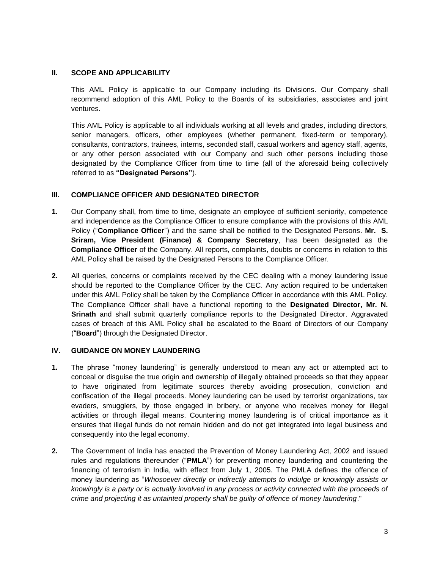### **II. SCOPE AND APPLICABILITY**

This AML Policy is applicable to our Company including its Divisions. Our Company shall recommend adoption of this AML Policy to the Boards of its subsidiaries, associates and joint ventures.

This AML Policy is applicable to all individuals working at all levels and grades, including directors, senior managers, officers, other employees (whether permanent, fixed-term or temporary), consultants, contractors, trainees, interns, seconded staff, casual workers and agency staff, agents, or any other person associated with our Company and such other persons including those designated by the Compliance Officer from time to time (all of the aforesaid being collectively referred to as **"Designated Persons"**).

### **III. COMPLIANCE OFFICER AND DESIGNATED DIRECTOR**

- **1.** Our Company shall, from time to time, designate an employee of sufficient seniority, competence and independence as the Compliance Officer to ensure compliance with the provisions of this AML Policy ("**Compliance Officer**") and the same shall be notified to the Designated Persons. **Mr. S. Sriram, Vice President (Finance) & Company Secretary**, has been designated as the **Compliance Officer** of the Company. All reports, complaints, doubts or concerns in relation to this AML Policy shall be raised by the Designated Persons to the Compliance Officer.
- **2.** All queries, concerns or complaints received by the CEC dealing with a money laundering issue should be reported to the Compliance Officer by the CEC. Any action required to be undertaken under this AML Policy shall be taken by the Compliance Officer in accordance with this AML Policy. The Compliance Officer shall have a functional reporting to the **Designated Director, Mr. N. Srinath** and shall submit quarterly compliance reports to the Designated Director. Aggravated cases of breach of this AML Policy shall be escalated to the Board of Directors of our Company ("**Board**") through the Designated Director.

#### **IV. GUIDANCE ON MONEY LAUNDERING**

- **1.** The phrase "money laundering" is generally understood to mean any act or attempted act to conceal or disguise the true origin and ownership of illegally obtained proceeds so that they appear to have originated from legitimate sources thereby avoiding prosecution, conviction and confiscation of the illegal proceeds. Money laundering can be used by terrorist organizations, tax evaders, smugglers, by those engaged in bribery, or anyone who receives money for illegal activities or through illegal means. Countering money laundering is of critical importance as it ensures that illegal funds do not remain hidden and do not get integrated into legal business and consequently into the legal economy.
- **2.** The Government of India has enacted the Prevention of Money Laundering Act, 2002 and issued rules and regulations thereunder ("**PMLA**") for preventing money laundering and countering the financing of terrorism in India, with effect from July 1, 2005. The PMLA defines the offence of money laundering as "*Whosoever directly or indirectly attempts to indulge or knowingly assists or knowingly is a party or is actually involved in any process or activity connected with the proceeds of crime and projecting it as untainted property shall be guilty of offence of money laundering*."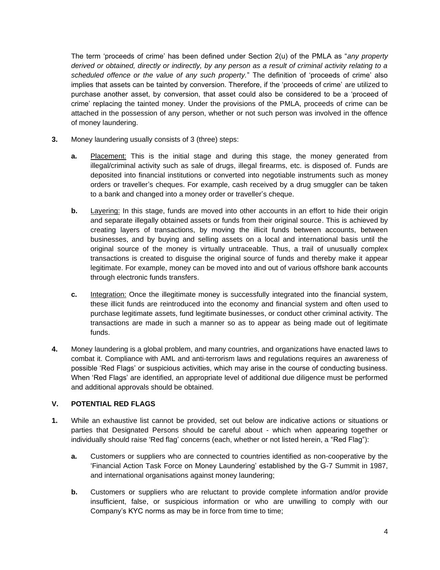The term 'proceeds of crime' has been defined under Section 2(u) of the PMLA as "*any property derived or obtained, directly or indirectly, by any person as a result of criminal activity relating to a scheduled offence or the value of any such property.*" The definition of 'proceeds of crime' also implies that assets can be tainted by conversion. Therefore, if the 'proceeds of crime' are utilized to purchase another asset, by conversion, that asset could also be considered to be a 'proceed of crime' replacing the tainted money. Under the provisions of the PMLA, proceeds of crime can be attached in the possession of any person, whether or not such person was involved in the offence of money laundering.

- **3.** Money laundering usually consists of 3 (three) steps:
	- **a.** Placement: This is the initial stage and during this stage, the money generated from illegal/criminal activity such as sale of drugs, illegal firearms, etc. is disposed of. Funds are deposited into financial institutions or converted into negotiable instruments such as money orders or traveller's cheques. For example, cash received by a drug smuggler can be taken to a bank and changed into a money order or traveller's cheque.
	- **b.** Layering: In this stage, funds are moved into other accounts in an effort to hide their origin and separate illegally obtained assets or funds from their original source. This is achieved by creating layers of transactions, by moving the illicit funds between accounts, between businesses, and by buying and selling assets on a local and international basis until the original source of the money is virtually untraceable. Thus, a trail of unusually complex transactions is created to disguise the original source of funds and thereby make it appear legitimate. For example, money can be moved into and out of various offshore bank accounts through electronic funds transfers.
	- **c.** Integration: Once the illegitimate money is successfully integrated into the financial system, these illicit funds are reintroduced into the economy and financial system and often used to purchase legitimate assets, fund legitimate businesses, or conduct other criminal activity. The transactions are made in such a manner so as to appear as being made out of legitimate funds.
- **4.** Money laundering is a global problem, and many countries, and organizations have enacted laws to combat it. Compliance with AML and anti-terrorism laws and regulations requires an awareness of possible 'Red Flags' or suspicious activities, which may arise in the course of conducting business. When 'Red Flags' are identified, an appropriate level of additional due diligence must be performed and additional approvals should be obtained.

# **V. POTENTIAL RED FLAGS**

- **1.** While an exhaustive list cannot be provided, set out below are indicative actions or situations or parties that Designated Persons should be careful about - which when appearing together or individually should raise 'Red flag' concerns (each, whether or not listed herein, a "Red Flag"):
	- **a.** Customers or suppliers who are connected to countries identified as non-cooperative by the 'Financial Action Task Force on Money Laundering' established by the G-7 Summit in 1987, and international organisations against money laundering;
	- **b.** Customers or suppliers who are reluctant to provide complete information and/or provide insufficient, false, or suspicious information or who are unwilling to comply with our Company's KYC norms as may be in force from time to time;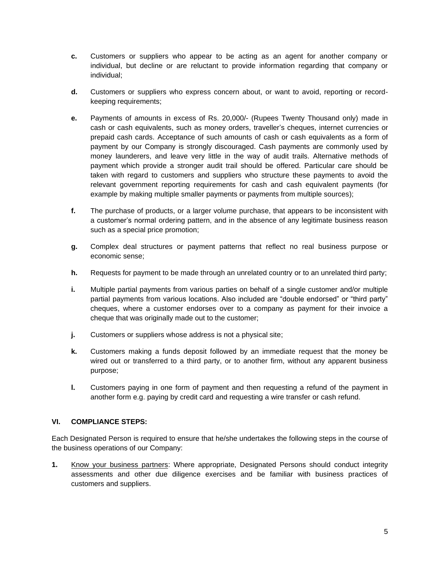- **c.** Customers or suppliers who appear to be acting as an agent for another company or individual, but decline or are reluctant to provide information regarding that company or individual;
- **d.** Customers or suppliers who express concern about, or want to avoid, reporting or recordkeeping requirements;
- **e.** Payments of amounts in excess of Rs. 20,000/- (Rupees Twenty Thousand only) made in cash or cash equivalents, such as money orders, traveller's cheques, internet currencies or prepaid cash cards. Acceptance of such amounts of cash or cash equivalents as a form of payment by our Company is strongly discouraged. Cash payments are commonly used by money launderers, and leave very little in the way of audit trails. Alternative methods of payment which provide a stronger audit trail should be offered. Particular care should be taken with regard to customers and suppliers who structure these payments to avoid the relevant government reporting requirements for cash and cash equivalent payments (for example by making multiple smaller payments or payments from multiple sources);
- **f.** The purchase of products, or a larger volume purchase, that appears to be inconsistent with a customer's normal ordering pattern, and in the absence of any legitimate business reason such as a special price promotion;
- **g.** Complex deal structures or payment patterns that reflect no real business purpose or economic sense;
- **h.** Requests for payment to be made through an unrelated country or to an unrelated third party;
- **i.** Multiple partial payments from various parties on behalf of a single customer and/or multiple partial payments from various locations. Also included are "double endorsed" or "third party" cheques, where a customer endorses over to a company as payment for their invoice a cheque that was originally made out to the customer;
- **j.** Customers or suppliers whose address is not a physical site;
- **k.** Customers making a funds deposit followed by an immediate request that the money be wired out or transferred to a third party, or to another firm, without any apparent business purpose;
- **l.** Customers paying in one form of payment and then requesting a refund of the payment in another form e.g. paying by credit card and requesting a wire transfer or cash refund.

### **VI. COMPLIANCE STEPS:**

Each Designated Person is required to ensure that he/she undertakes the following steps in the course of the business operations of our Company:

**1.** Know your business partners: Where appropriate, Designated Persons should conduct integrity assessments and other due diligence exercises and be familiar with business practices of customers and suppliers.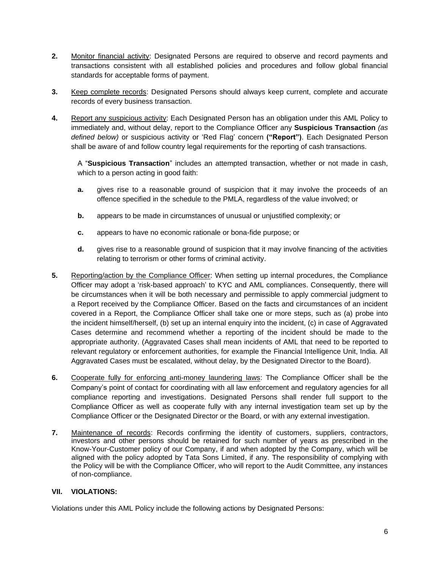- **2.** Monitor financial activity: Designated Persons are required to observe and record payments and transactions consistent with all established policies and procedures and follow global financial standards for acceptable forms of payment.
- **3.** Keep complete records: Designated Persons should always keep current, complete and accurate records of every business transaction.
- **4.** Report any suspicious activity: Each Designated Person has an obligation under this AML Policy to immediately and, without delay, report to the Compliance Officer any **Suspicious Transaction** *(as defined below)* or suspicious activity or 'Red Flag' concern **("Report")**. Each Designated Person shall be aware of and follow country legal requirements for the reporting of cash transactions.

A "**Suspicious Transaction**" includes an attempted transaction, whether or not made in cash, which to a person acting in good faith:

- **a.** gives rise to a reasonable ground of suspicion that it may involve the proceeds of an offence specified in the schedule to the PMLA, regardless of the value involved; or
- **b.** appears to be made in circumstances of unusual or unjustified complexity; or
- **c.** appears to have no economic rationale or bona-fide purpose; or
- **d.** gives rise to a reasonable ground of suspicion that it may involve financing of the activities relating to terrorism or other forms of criminal activity.
- **5.** Reporting/action by the Compliance Officer: When setting up internal procedures, the Compliance Officer may adopt a 'risk-based approach' to KYC and AML compliances. Consequently, there will be circumstances when it will be both necessary and permissible to apply commercial judgment to a Report received by the Compliance Officer. Based on the facts and circumstances of an incident covered in a Report, the Compliance Officer shall take one or more steps, such as (a) probe into the incident himself/herself, (b) set up an internal enquiry into the incident, (c) in case of Aggravated Cases determine and recommend whether a reporting of the incident should be made to the appropriate authority. (Aggravated Cases shall mean incidents of AML that need to be reported to relevant regulatory or enforcement authorities, for example the Financial Intelligence Unit, India. All Aggravated Cases must be escalated, without delay, by the Designated Director to the Board).
- **6.** Cooperate fully for enforcing anti-money laundering laws: The Compliance Officer shall be the Company's point of contact for coordinating with all law enforcement and regulatory agencies for all compliance reporting and investigations. Designated Persons shall render full support to the Compliance Officer as well as cooperate fully with any internal investigation team set up by the Compliance Officer or the Designated Director or the Board, or with any external investigation.
- **7.** Maintenance of records: Records confirming the identity of customers, suppliers, contractors, investors and other persons should be retained for such number of years as prescribed in the Know-Your-Customer policy of our Company, if and when adopted by the Company, which will be aligned with the policy adopted by Tata Sons Limited, if any. The responsibility of complying with the Policy will be with the Compliance Officer, who will report to the Audit Committee, any instances of non-compliance.

### **VII. VIOLATIONS:**

Violations under this AML Policy include the following actions by Designated Persons: